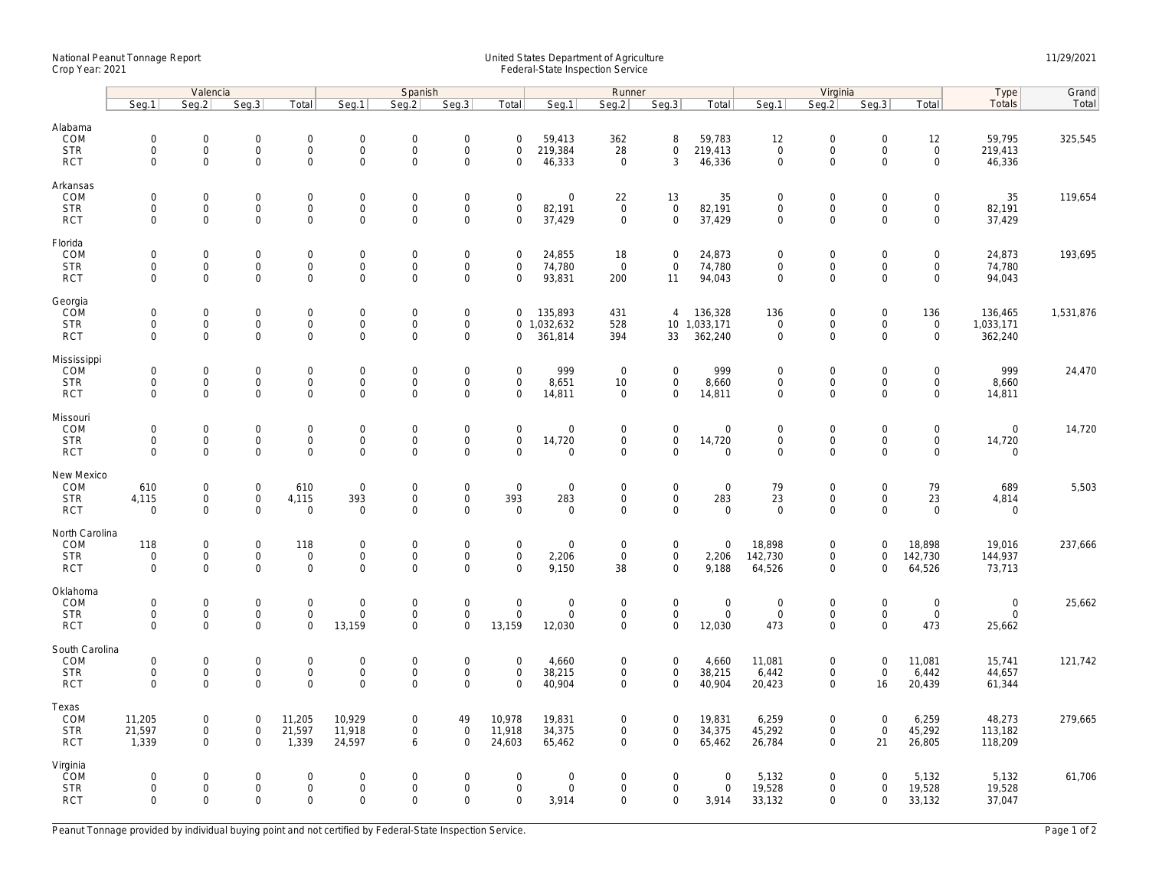## National Peanut Tonnage Report United States Department of Agriculture 11/29/2021<br>Crop Year: 2021 Federal-State Inspection Service

|                          | Valencia                           |                                            |                            |                                    | Spanish                            |                                     |                                            |                            | Runner                             |                            |                                    |                                | Virginia                   |                                            |                            |                                    | Type                  | Grand     |
|--------------------------|------------------------------------|--------------------------------------------|----------------------------|------------------------------------|------------------------------------|-------------------------------------|--------------------------------------------|----------------------------|------------------------------------|----------------------------|------------------------------------|--------------------------------|----------------------------|--------------------------------------------|----------------------------|------------------------------------|-----------------------|-----------|
|                          | Seg.1                              | Seg.2                                      | Seg.3                      | Total                              | Seg.1                              | Seg.2                               | Seg.3                                      | Total                      | Seg.1                              | Seg.2                      | Seg.3                              | Total                          | Seg.1                      | Seg.2                                      | Seg.3                      | Total                              | Totals                | Total     |
| Alabama<br>COM           | $\mathsf{O}\xspace$                | $\mathsf{O}\xspace$<br>$\mathbf 0$         | $\mathsf 0$<br>0           | $\mathbf 0$                        | $\mathbf 0$                        | $\mathbf 0$                         | $\mathsf{O}\xspace$<br>$\mathsf{O}\xspace$ | $\Omega$                   | 59,413                             | 362                        | 8                                  | 59,783                         | 12<br>$\mathbf 0$          | $\mathbf 0$                                | $\mathsf{O}\xspace$        | 12                                 | 59,795                | 325,545   |
| <b>STR</b><br><b>RCT</b> | $\mathbf 0$<br>$\mathbf 0$         | $\Omega$                                   | $\mathbf 0$                | $\mathsf{O}\xspace$<br>$\mathbf 0$ | $\mathsf 0$<br>$\mathbf 0$         | $\mathsf{O}\xspace$<br>$\Omega$     | $\mathbf 0$                                | $\mathbf 0$<br>0           | 219,384<br>46,333                  | 28<br>$\mathbf 0$          | $\mathsf{O}\xspace$<br>3           | 219,413<br>46,336              | $\mathbf 0$                | $\mathsf{O}\xspace$<br>$\mathbf 0$         | $\mathbf 0$<br>$\Omega$    | $\mathsf{O}\xspace$<br>$\mathbf 0$ | 219,413<br>46,336     |           |
| Arkansas                 |                                    |                                            |                            |                                    |                                    |                                     |                                            |                            |                                    |                            |                                    |                                |                            |                                            |                            |                                    |                       |           |
| COM<br><b>STR</b>        | $\mathbf 0$<br>$\mathbf 0$         | $\mathbf 0$<br>$\mathbf 0$                 | $\mathsf 0$<br>0           | $\mathbf 0$<br>$\mathsf{O}\xspace$ | $\mathbf 0$<br>$\mathsf{O}\xspace$ | $\mathbf 0$<br>$\mathsf{O}\xspace$  | $\mathsf{O}\xspace$<br>$\mathsf{O}\xspace$ | $\mathbf 0$<br>0           | $\mathbf 0$<br>82,191              | 22<br>$\mathsf{O}$         | 13<br>$\mathsf{O}\xspace$          | 35<br>82,191                   | $\mathbf 0$<br>$\mathbf 0$ | $\mathsf{O}\xspace$<br>$\mathsf{O}\xspace$ | $\mathbf 0$<br>$\mathbf 0$ | $\mathbf 0$<br>0                   | 35<br>82,191          | 119,654   |
| <b>RCT</b>               | $\mathbf 0$                        | $\mathbf 0$                                | $\mathbf 0$                | $\mathbf 0$                        | $\mathbf 0$                        | $\mathbf 0$                         | $\mathbf 0$                                | $\mathbf 0$                | 37,429                             | $\mathbf 0$                | $\mathbf{0}$                       | 37,429                         | $\mathbf 0$                | $\mathbf 0$                                | $\mathbf 0$                | $\mathbf 0$                        | 37,429                |           |
| Florida<br>COM           | $\mathsf{O}\xspace$                | $\mathsf{O}\xspace$                        | 0                          | $\mathbf 0$                        | $\mathbf 0$                        | $\mathbf 0$                         | $\mathsf{O}\xspace$                        | $\mathbf 0$                | 24,855                             | 18                         | $\mathsf 0$                        | 24,873                         | $\mathbf 0$                | $\mathsf{O}\xspace$                        | $\mathbf 0$                | 0                                  | 24,873                | 193,695   |
| <b>STR</b>               | $\mathbf 0$                        | $\mathbf 0$                                | $\mathbf 0$                | $\mathbf{0}$                       | $\mathsf{O}$                       | $\mathbf 0$                         | $\mathsf{O}\xspace$                        | $\mathbf 0$                | 74,780                             | $\mathbf{0}$               | $\mathbf 0$                        | 74,780                         | $\mathbf 0$                | $\mathsf 0$                                | $\mathbf 0$                | $\mathsf{O}\xspace$                | 74,780                |           |
| <b>RCT</b>               | $\mathbf 0$                        | $\mathbf 0$                                | $\mathbf 0$                | 0                                  | $\mathsf 0$                        | $\mathsf{O}\xspace$                 | $\mathsf{O}\xspace$                        | $\mathbf 0$                | 93,831                             | 200                        | 11                                 | 94,043                         | $\mathsf 0$                | $\mathbf 0$                                | $\mathbf 0$                | 0                                  | 94,043                |           |
| Georgia<br>COM           | $\mathsf{O}\xspace$                | $\mathsf{O}\xspace$                        | 0                          | $\mathbf 0$                        | $\mathsf{O}\xspace$                | $\mathbf 0$                         | $\mathsf{O}\xspace$                        | $\mathbf 0$                | 135,893                            | 431                        | $\overline{4}$                     | 136,328                        | 136                        | $\mathbf 0$                                | $\mathsf{O}\xspace$        | 136                                | 136,465               | 1,531,876 |
| <b>STR</b><br><b>RCT</b> | $\mathbf 0$<br>$\mathbf 0$         | $\mathsf{O}\xspace$<br>$\mathbf 0$         | 0<br>$\mathbf 0$           | $\mathsf{O}$<br>$\mathbf 0$        | $\mathsf{O}$<br>$\mathbf 0$        | $\mathsf{O}\xspace$<br>$\mathbf 0$  | $\mathsf{O}\xspace$<br>$\mathbf 0$         | 0                          | 0 1,032,632<br>361,814             | 528<br>394                 | 33                                 | 10 1,033,171<br>362,240        | $\mathbf 0$<br>$\mathbf 0$ | $\mathsf{O}\xspace$<br>$\mathbf 0$         | $\mathbf 0$<br>$\Omega$    | $\mathsf 0$<br>0                   | 1,033,171<br>362,240  |           |
|                          |                                    |                                            |                            |                                    |                                    |                                     |                                            |                            |                                    |                            |                                    |                                |                            |                                            |                            |                                    |                       |           |
| Mississippi<br>COM       | $\mathbf 0$                        | $\mathbf 0$                                | 0                          | $\mathbf 0$                        | $\mathbf 0$                        | $\mathbf 0$                         | $\mathbf 0$                                | $\Omega$                   | 999                                | $\mathbf 0$                | $\mathbf 0$                        | 999                            | $\mathbf 0$                | $\mathbf 0$                                | $\mathbf 0$                | $\mathbf 0$                        | 999                   | 24,470    |
| <b>STR</b><br><b>RCT</b> | $\mathsf{O}\xspace$<br>$\Omega$    | $\mathbf 0$<br>$\mathbf 0$                 | 0<br>$\mathbf 0$           | $\mathbf 0$<br>$\mathbf 0$         | $\mathsf 0$<br>$\mathbf 0$         | $\mathsf{O}\xspace$<br>$\Omega$     | $\mathsf{O}\xspace$<br>$\mathbf 0$         | $\mathsf 0$<br>$\mathbf 0$ | 8,651<br>14,811                    | 10<br>$\mathbf 0$          | $\mathbf 0$<br>$\mathbf 0$         | 8,660<br>14,811                | $\mathbf 0$<br>$\mathbf 0$ | $\mathsf{O}\xspace$<br>$\mathbf 0$         | $\mathbf 0$<br>$\Omega$    | 0<br>$\mathbf 0$                   | 8,660<br>14,811       |           |
| Missouri                 |                                    |                                            |                            |                                    |                                    |                                     |                                            |                            |                                    |                            |                                    |                                |                            |                                            |                            |                                    |                       |           |
| COM<br><b>STR</b>        | $\mathbf 0$<br>$\mathbf 0$         | $\mathsf{O}\xspace$<br>$\mathbf 0$         | $\mathsf 0$<br>$\mathbf 0$ | $\mathbf 0$<br>$\mathsf{O}$        | $\overline{0}$<br>$\mathbf 0$      | $\mathbf 0$<br>$\mathbf 0$          | $\mathsf{O}\xspace$<br>$\mathsf{O}$        | $\mathbf 0$<br>$\mathbf 0$ | $\mathsf{O}\xspace$<br>14,720      | $\mathbf 0$<br>$\mathbf 0$ | $\mathsf 0$<br>$\mathsf{O}\xspace$ | $\mathbf 0$<br>14,720          | $\mathbf 0$<br>$\mathbf 0$ | $\mathsf{O}\xspace$<br>$\mathbf 0$         | $\mathbf 0$<br>$\mathbf 0$ | 0<br>0                             | $\mathsf 0$<br>14,720 | 14,720    |
| <b>RCT</b>               | $\mathbf 0$                        | $\mathbf 0$                                | $\mathbf 0$                | $\mathbf{0}$                       | $\mathbf 0$                        | $\mathbf 0$                         | $\mathbf 0$                                | $\Omega$                   | $\mathbf 0$                        | $\mathbf 0$                | $\mathbf{0}$                       | $\mathbf 0$                    | $\mathbf 0$                | $\mathbf 0$                                | $\mathbf 0$                | $\mathbf 0$                        | $\mathbf 0$           |           |
| New Mexico               |                                    |                                            |                            |                                    |                                    |                                     |                                            |                            |                                    |                            |                                    |                                |                            |                                            |                            |                                    |                       |           |
| COM<br><b>STR</b>        | 610<br>4,115                       | $\mathsf{O}\xspace$<br>$\mathsf{O}\xspace$ | 0<br>$\mathbf 0$           | 610<br>4,115                       | $\boldsymbol{0}$<br>393            | $\mathbf 0$<br>$\mathbf{0}$         | $\mathsf{O}\xspace$<br>$\mathsf{O}\xspace$ | $\mathsf 0$<br>393         | $\mathbf 0$<br>283                 | $\mathbf 0$<br>$\mathbf 0$ | $\mathbf 0$<br>$\mathbf 0$         | $\boldsymbol{0}$<br>283        | 79<br>23                   | $\mathbf 0$<br>$\mathsf 0$                 | $\mathbf 0$<br>$\mathbf 0$ | 79<br>23                           | 689<br>4,814          | 5,503     |
| <b>RCT</b>               | $\Omega$                           | $\Omega$                                   | $\Omega$                   | $\mathbf{0}$                       | $\mathbf 0$                        | $\mathbf 0$                         | $\Omega$                                   | $\mathbf 0$                | $\mathbf 0$                        | $\Omega$                   | $\mathbf 0$                        | $\mathbf 0$                    | $\Omega$                   | $\Omega$                                   | $\Omega$                   | $\mathbf 0$                        | $\mathbf 0$           |           |
| North Carolina<br>COM    | 118                                | $\mathbf 0$                                | $\mathbf 0$                | 118                                | $\mathbf 0$                        | $\mathbf 0$                         | $\mathbf 0$                                | $\mathbf 0$                | $\mathbf 0$                        | $\mathbf 0$                | $\mathbf 0$                        | $\mathbf 0$                    | 18,898                     | $\mathbf 0$                                | $\mathbf 0$                | 18,898                             | 19,016                | 237,666   |
| <b>STR</b>               | $\mathsf{O}\xspace$                | $\mathbf 0$                                | $\mathsf{O}\xspace$        | $\mathbf 0$                        | $\mathsf 0$                        | $\mathsf{O}\xspace$                 | $\mathsf{O}\xspace$                        | $\mathsf{O}\xspace$        | 2,206                              | $\mathbf 0$                | $\mathbf 0$                        | 2,206                          | 142,730                    | $\mathsf{O}\xspace$                        | $\mathbf 0$                | 142,730                            | 144,937               |           |
| <b>RCT</b>               | $\Omega$                           | $\Omega$                                   | $\mathbf 0$                | $\mathbf 0$                        | $\Omega$                           | $\mathbf 0$                         | $\Omega$                                   | $\Omega$                   | 9,150                              | 38                         | $\mathbf 0$                        | 9,188                          | 64,526                     | $\mathbf 0$                                | $\Omega$                   | 64,526                             | 73,713                |           |
| Oklahoma<br>COM          | $\mathbf 0$                        | $\mathbf 0$                                | 0                          | $\mathbf 0$                        | $\mathbf 0$                        | $\mathbf 0$                         | $\mathsf{O}\xspace$                        | $\mathsf{O}\xspace$        | $\mathbf 0$                        | $\mathbf 0$                | $\mathbf 0$                        | $\mathbf 0$                    | $\mathbf 0$                | $\mathbf 0$                                | $\mathbf 0$                | 0                                  | $\mathbf 0$           | 25,662    |
| <b>STR</b><br><b>RCT</b> | $\mathsf{O}\xspace$<br>$\mathbf 0$ | $\mathbf 0$<br>$\Omega$                    | 0<br>$\mathbf 0$           | $\mathbf 0$<br>0                   | $\mathsf{O}\xspace$<br>13,159      | $\mathsf{O}\xspace$<br>$\mathbf{0}$ | $\mathbf 0$<br>$\mathbf 0$                 | $\mathbf 0$<br>13,159      | $\mathbf 0$<br>12,030              | $\mathbf 0$<br>$\mathbf 0$ | $\overline{0}$<br>$\mathbf 0$      | $\mathbf 0$<br>12,030          | $\mathbf 0$<br>473         | $\mathsf{O}\xspace$<br>$\mathbf 0$         | $\mathbf 0$<br>$\Omega$    | $\mathbf 0$<br>473                 | $\mathbf 0$<br>25,662 |           |
| South Carolina           |                                    |                                            |                            |                                    |                                    |                                     |                                            |                            |                                    |                            |                                    |                                |                            |                                            |                            |                                    |                       |           |
| COM                      | $\mathsf{O}\xspace$                | $\mathsf{O}\xspace$                        | 0                          | $\mathbf 0$                        | $\overline{0}$                     | $\mathbf 0$                         | $\mathsf{O}\xspace$                        | $\mathbf 0$                | 4,660                              | 0                          | $\mathsf{O}\xspace$                | 4,660                          | 11,081                     | $\mathsf{O}\xspace$                        | $\mathsf{O}\xspace$        | 11,081                             | 15,741                | 121,742   |
| <b>STR</b><br><b>RCT</b> | $\mathbf 0$<br>$\Omega$            | $\mathsf{O}\xspace$<br>$\Omega$            | $\mathbf 0$<br>$\Omega$    | $\mathsf{O}\xspace$<br>$\mathbf 0$ | $\mathbf 0$<br>$\mathsf 0$         | $\mathbf 0$<br>$\mathsf{O}\xspace$  | $\mathbf 0$<br>$\Omega$                    | $\mathbf 0$<br>$\Omega$    | 38,215<br>40,904                   | 0<br>$\Omega$              | $\mathsf{O}$<br>$\mathbf 0$        | 38,215<br>40,904               | 6,442<br>20,423            | $\mathbf 0$<br>$\Omega$                    | $\mathbf 0$<br>16          | 6,442<br>20,439                    | 44,657<br>61,344      |           |
| Texas                    |                                    |                                            |                            |                                    |                                    |                                     |                                            |                            |                                    |                            |                                    |                                |                            |                                            |                            |                                    |                       |           |
| <b>COM</b><br><b>STR</b> | 11,205<br>21,597                   | $\mathbf 0$<br>$\mathsf{O}\xspace$         | 0<br>$\mathsf{O}\xspace$   | 11,205<br>21,597                   | 10,929<br>11,918                   | $\mathbf 0$<br>$\mathsf{O}\xspace$  | 49<br>$\mathsf{O}$                         | 10,978<br>11,918           | 19,831<br>34,375                   | 0<br>0                     | $\mathbf 0$<br>$\mathbf 0$         | 19,831<br>34,375               | 6,259<br>45,292            | $\mathsf{O}\xspace$<br>$\mathsf 0$         | $\mathbf 0$<br>$\mathbf 0$ | 6,259<br>45,292                    | 48,273<br>113,182     | 279,665   |
| <b>RCT</b>               | 1,339                              | $\mathbf 0$                                | $\mathbf 0$                | 1,339                              | 24,597                             | 6                                   | $\mathbf 0$                                | 24,603                     | 65,462                             | $\mathbf 0$                | $\mathbf{0}$                       | 65,462                         | 26,784                     | $\mathbf 0$                                | 21                         | 26,805                             | 118,209               |           |
| Virginia                 |                                    |                                            |                            |                                    |                                    |                                     |                                            |                            |                                    |                            |                                    |                                |                            |                                            |                            |                                    |                       |           |
| ČOM<br><b>STR</b>        | $\Omega$<br>$\mathbf 0$            | $\mathbf 0$<br>$\mathbf 0$                 | $\mathbf 0$<br>$\mathbf 0$ | $\mathbf 0$<br>$\mathsf{O}\xspace$ | $\mathbf 0$<br>$\mathsf 0$         | $\mathbf 0$<br>$\mathbf 0$          | $\mathbf 0$<br>$\mathbf 0$                 | $\mathbf 0$<br>$\mathbf 0$ | $\mathbf 0$<br>$\mathsf{O}\xspace$ | $\Omega$<br>$\mathbf 0$    | $\mathbf 0$<br>$\mathsf{O}\xspace$ | $\overline{0}$<br>$\mathsf{O}$ | 5,132<br>19,528            | $\mathbf 0$<br>$\mathbf 0$                 | $\mathbf 0$<br>$\mathbf 0$ | 5,132<br>19,528                    | 5,132<br>19,528       | 61,706    |
| <b>RCT</b>               | $\mathbf 0$                        | $\mathbf 0$                                | $\mathbf 0$                | 0                                  | $\mathbf 0$                        | $\mathbf 0$                         | $\mathbf 0$                                | $\Omega$                   | 3,914                              | $\mathbf 0$                | $\mathbf 0$                        | 3,914                          | 33,132                     | $\mathbf 0$                                | $\mathbf 0$                | 33,132                             | 37,047                |           |

Peanut Tonnage provided by individual buying point and not certified by Federal-State Inspection Service. Page 1 of 2